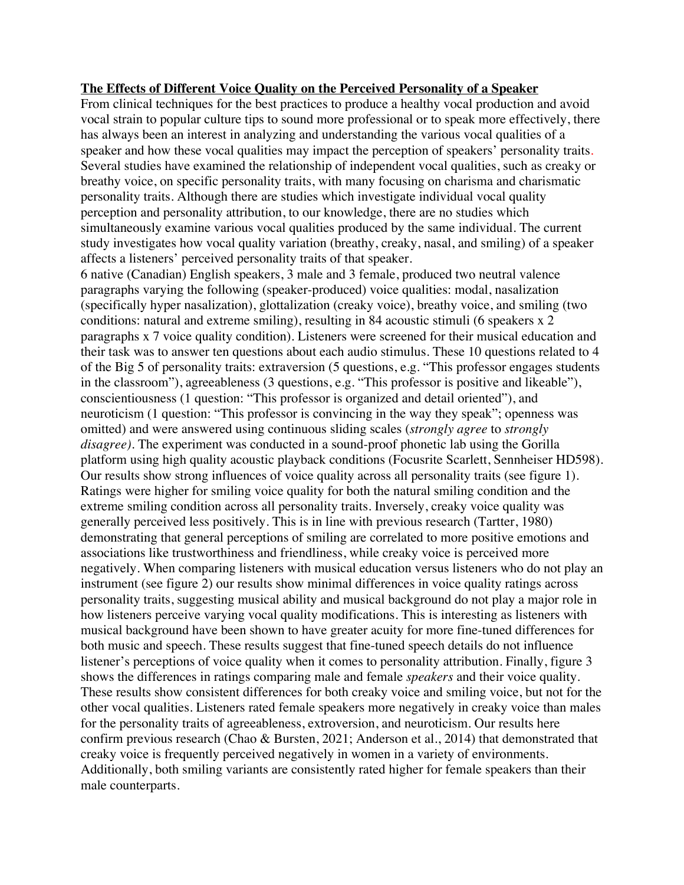## **The Effects of Different Voice Quality on the Perceived Personality of a Speaker**

From clinical techniques for the best practices to produce a healthy vocal production and avoid vocal strain to popular culture tips to sound more professional or to speak more effectively, there has always been an interest in analyzing and understanding the various vocal qualities of a speaker and how these vocal qualities may impact the perception of speakers' personality traits. Several studies have examined the relationship of independent vocal qualities, such as creaky or breathy voice, on specific personality traits, with many focusing on charisma and charismatic personality traits. Although there are studies which investigate individual vocal quality perception and personality attribution, to our knowledge, there are no studies which simultaneously examine various vocal qualities produced by the same individual. The current study investigates how vocal quality variation (breathy, creaky, nasal, and smiling) of a speaker affects a listeners' perceived personality traits of that speaker.

6 native (Canadian) English speakers, 3 male and 3 female, produced two neutral valence paragraphs varying the following (speaker-produced) voice qualities: modal, nasalization (specifically hyper nasalization), glottalization (creaky voice), breathy voice, and smiling (two conditions: natural and extreme smiling), resulting in 84 acoustic stimuli (6 speakers x 2 paragraphs x 7 voice quality condition). Listeners were screened for their musical education and their task was to answer ten questions about each audio stimulus. These 10 questions related to 4 of the Big 5 of personality traits: extraversion (5 questions, e.g. "This professor engages students in the classroom"), agreeableness (3 questions, e.g. "This professor is positive and likeable"), conscientiousness (1 question: "This professor is organized and detail oriented"), and neuroticism (1 question: "This professor is convincing in the way they speak"; openness was omitted) and were answered using continuous sliding scales (*strongly agree* to *strongly disagree)*. The experiment was conducted in a sound-proof phonetic lab using the Gorilla platform using high quality acoustic playback conditions (Focusrite Scarlett, Sennheiser HD598). Our results show strong influences of voice quality across all personality traits (see figure 1). Ratings were higher for smiling voice quality for both the natural smiling condition and the extreme smiling condition across all personality traits. Inversely, creaky voice quality was generally perceived less positively. This is in line with previous research (Tartter, 1980) demonstrating that general perceptions of smiling are correlated to more positive emotions and associations like trustworthiness and friendliness, while creaky voice is perceived more negatively. When comparing listeners with musical education versus listeners who do not play an instrument (see figure 2) our results show minimal differences in voice quality ratings across personality traits, suggesting musical ability and musical background do not play a major role in how listeners perceive varying vocal quality modifications. This is interesting as listeners with musical background have been shown to have greater acuity for more fine-tuned differences for both music and speech. These results suggest that fine-tuned speech details do not influence listener's perceptions of voice quality when it comes to personality attribution. Finally, figure 3 shows the differences in ratings comparing male and female *speakers* and their voice quality. These results show consistent differences for both creaky voice and smiling voice, but not for the other vocal qualities. Listeners rated female speakers more negatively in creaky voice than males for the personality traits of agreeableness, extroversion, and neuroticism. Our results here confirm previous research (Chao & Bursten, 2021; Anderson et al., 2014) that demonstrated that creaky voice is frequently perceived negatively in women in a variety of environments. Additionally, both smiling variants are consistently rated higher for female speakers than their male counterparts.